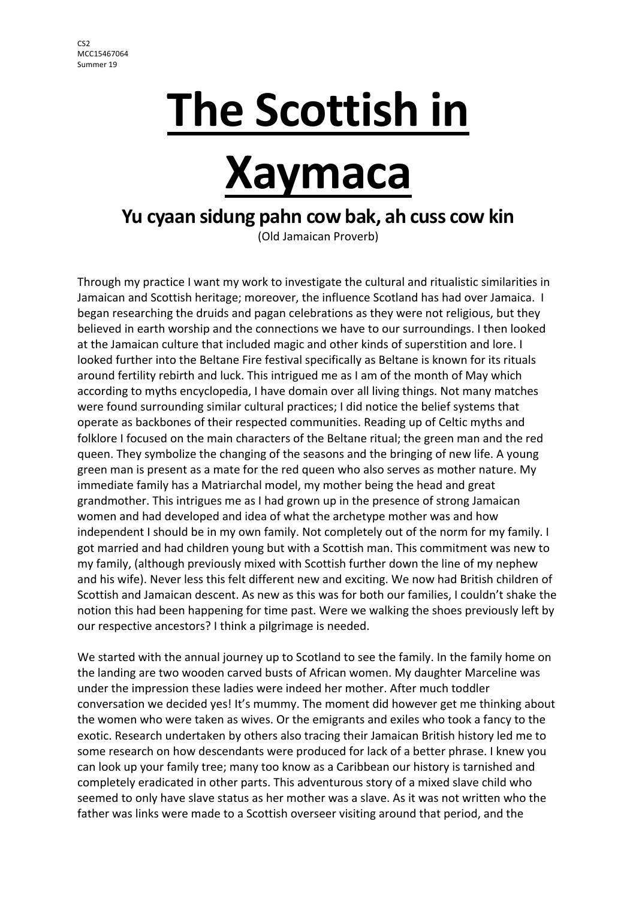# **The Scottish in**

# **Xaymaca**

## **Yu cyaan sidung pahn cow bak, ah cuss cow kin**

(Old Jamaican Proverb)

Through my practice I want my work to investigate the cultural and ritualistic similarities in Jamaican and Scottish heritage; moreover, the influence Scotland has had over Jamaica. I began researching the druids and pagan celebrations as they were not religious, but they believed in earth worship and the connections we have to our surroundings. I then looked at the Jamaican culture that included magic and other kinds of superstition and lore. I looked further into the Beltane Fire festival specifically as Beltane is known for its rituals around fertility rebirth and luck. This intrigued me as I am of the month of May which according to myths encyclopedia, I have domain over all living things. Not many matches were found surrounding similar cultural practices; I did notice the belief systems that operate as backbones of their respected communities. Reading up of Celtic myths and folklore I focused on the main characters of the Beltane ritual; the green man and the red queen. They symbolize the changing of the seasons and the bringing of new life. A young green man is present as a mate for the red queen who also serves as mother nature. My immediate family has a Matriarchal model, my mother being the head and great grandmother. This intrigues me as I had grown up in the presence of strong Jamaican women and had developed and idea of what the archetype mother was and how independent I should be in my own family. Not completely out of the norm for my family. I got married and had children young but with a Scottish man. This commitment was new to my family, (although previously mixed with Scottish further down the line of my nephew and his wife). Never less this felt different new and exciting. We now had British children of Scottish and Jamaican descent. As new as this was for both our families, I couldn't shake the notion this had been happening for time past. Were we walking the shoes previously left by our respective ancestors? I think a pilgrimage is needed.

We started with the annual journey up to Scotland to see the family. In the family home on the landing are two wooden carved busts of African women. My daughter Marceline was under the impression these ladies were indeed her mother. After much toddler conversation we decided yes! It's mummy. The moment did however get me thinking about the women who were taken as wives. Or the emigrants and exiles who took a fancy to the exotic. Research undertaken by others also tracing their Jamaican British history led me to some research on how descendants were produced for lack of a better phrase. I knew you can look up your family tree; many too know as a Caribbean our history is tarnished and completely eradicated in other parts. This adventurous story of a mixed slave child who seemed to only have slave status as her mother was a slave. As it was not written who the father was links were made to a Scottish overseer visiting around that period, and the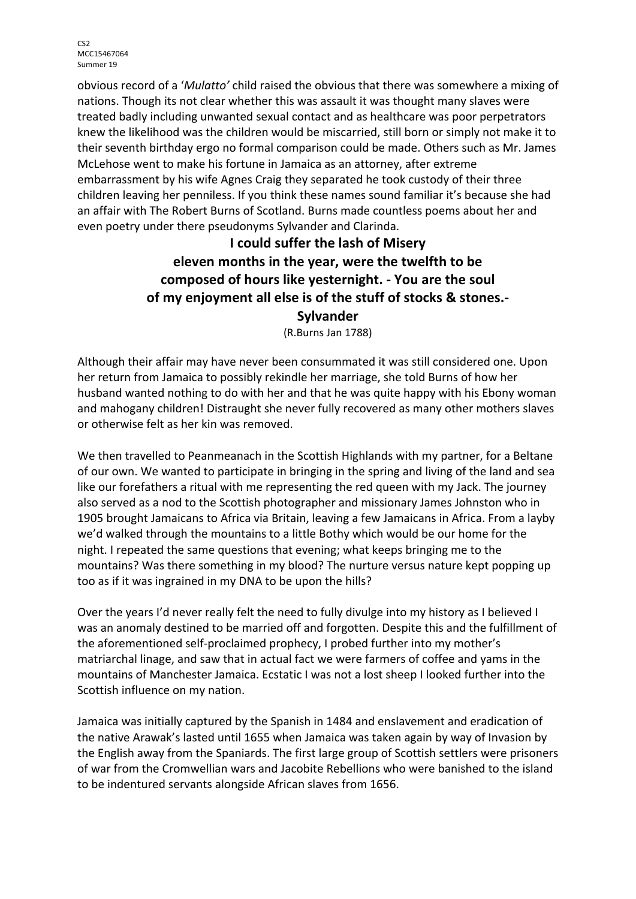obvious record of a '*Mulatto'* child raised the obvious that there was somewhere a mixing of nations. Though its not clear whether this was assault it was thought many slaves were treated badly including unwanted sexual contact and as healthcare was poor perpetrators knew the likelihood was the children would be miscarried, still born or simply not make it to their seventh birthday ergo no formal comparison could be made. Others such as Mr. James McLehose went to make his fortune in Jamaica as an attorney, after extreme embarrassment by his wife Agnes Craig they separated he took custody of their three children leaving her penniless. If you think these names sound familiar it's because she had an affair with The Robert Burns of Scotland. Burns made countless poems about her and even poetry under there pseudonyms Sylvander and Clarinda.

#### **I could suffer the lash of Misery eleven months in the year, were the twelfth to be composed of hours like yesternight. - You are the soul of my enjoyment all else is of the stuff of stocks & stones.- Sylvander**

(R.Burns Jan 1788)

Although their affair may have never been consummated it was still considered one. Upon her return from Jamaica to possibly rekindle her marriage, she told Burns of how her husband wanted nothing to do with her and that he was quite happy with his Ebony woman and mahogany children! Distraught she never fully recovered as many other mothers slaves or otherwise felt as her kin was removed.

We then travelled to Peanmeanach in the Scottish Highlands with my partner, for a Beltane of our own. We wanted to participate in bringing in the spring and living of the land and sea like our forefathers a ritual with me representing the red queen with my Jack. The journey also served as a nod to the Scottish photographer and missionary James Johnston who in 1905 brought Jamaicans to Africa via Britain, leaving a few Jamaicans in Africa. From a layby we'd walked through the mountains to a little Bothy which would be our home for the night. I repeated the same questions that evening; what keeps bringing me to the mountains? Was there something in my blood? The nurture versus nature kept popping up too as if it was ingrained in my DNA to be upon the hills?

Over the years I'd never really felt the need to fully divulge into my history as I believed I was an anomaly destined to be married off and forgotten. Despite this and the fulfillment of the aforementioned self-proclaimed prophecy, I probed further into my mother's matriarchal linage, and saw that in actual fact we were farmers of coffee and yams in the mountains of Manchester Jamaica. Ecstatic I was not a lost sheep I looked further into the Scottish influence on my nation.

Jamaica was initially captured by the Spanish in 1484 and enslavement and eradication of the native Arawak's lasted until 1655 when Jamaica was taken again by way of Invasion by the English away from the Spaniards. The first large group of Scottish settlers were prisoners of war from the Cromwellian wars and Jacobite Rebellions who were banished to the island to be indentured servants alongside African slaves from 1656.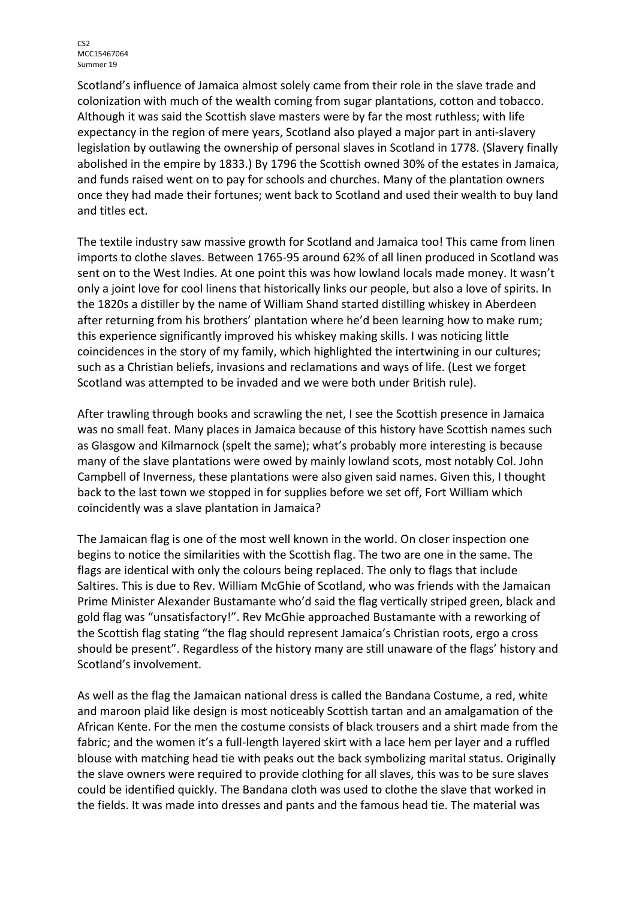Scotland's influence of Jamaica almost solely came from their role in the slave trade and colonization with much of the wealth coming from sugar plantations, cotton and tobacco. Although it was said the Scottish slave masters were by far the most ruthless; with life expectancy in the region of mere years, Scotland also played a major part in anti-slavery legislation by outlawing the ownership of personal slaves in Scotland in 1778. (Slavery finally abolished in the empire by 1833.) By 1796 the Scottish owned 30% of the estates in Jamaica, and funds raised went on to pay for schools and churches. Many of the plantation owners once they had made their fortunes; went back to Scotland and used their wealth to buy land and titles ect.

The textile industry saw massive growth for Scotland and Jamaica too! This came from linen imports to clothe slaves. Between 1765-95 around 62% of all linen produced in Scotland was sent on to the West Indies. At one point this was how lowland locals made money. It wasn't only a joint love for cool linens that historically links our people, but also a love of spirits. In the 1820s a distiller by the name of William Shand started distilling whiskey in Aberdeen after returning from his brothers' plantation where he'd been learning how to make rum; this experience significantly improved his whiskey making skills. I was noticing little coincidences in the story of my family, which highlighted the intertwining in our cultures; such as a Christian beliefs, invasions and reclamations and ways of life. (Lest we forget Scotland was attempted to be invaded and we were both under British rule).

After trawling through books and scrawling the net, I see the Scottish presence in Jamaica was no small feat. Many places in Jamaica because of this history have Scottish names such as Glasgow and Kilmarnock (spelt the same); what's probably more interesting is because many of the slave plantations were owed by mainly lowland scots, most notably Col. John Campbell of Inverness, these plantations were also given said names. Given this, I thought back to the last town we stopped in for supplies before we set off, Fort William which coincidently was a slave plantation in Jamaica?

The Jamaican flag is one of the most well known in the world. On closer inspection one begins to notice the similarities with the Scottish flag. The two are one in the same. The flags are identical with only the colours being replaced. The only to flags that include Saltires. This is due to Rev. William McGhie of Scotland, who was friends with the Jamaican Prime Minister Alexander Bustamante who'd said the flag vertically striped green, black and gold flag was "unsatisfactory!". Rev McGhie approached Bustamante with a reworking of the Scottish flag stating "the flag should represent Jamaica's Christian roots, ergo a cross should be present". Regardless of the history many are still unaware of the flags' history and Scotland's involvement.

As well as the flag the Jamaican national dress is called the Bandana Costume, a red, white and maroon plaid like design is most noticeably Scottish tartan and an amalgamation of the African Kente. For the men the costume consists of black trousers and a shirt made from the fabric; and the women it's a full-length layered skirt with a lace hem per layer and a ruffled blouse with matching head tie with peaks out the back symbolizing marital status. Originally the slave owners were required to provide clothing for all slaves, this was to be sure slaves could be identified quickly. The Bandana cloth was used to clothe the slave that worked in the fields. It was made into dresses and pants and the famous head tie. The material was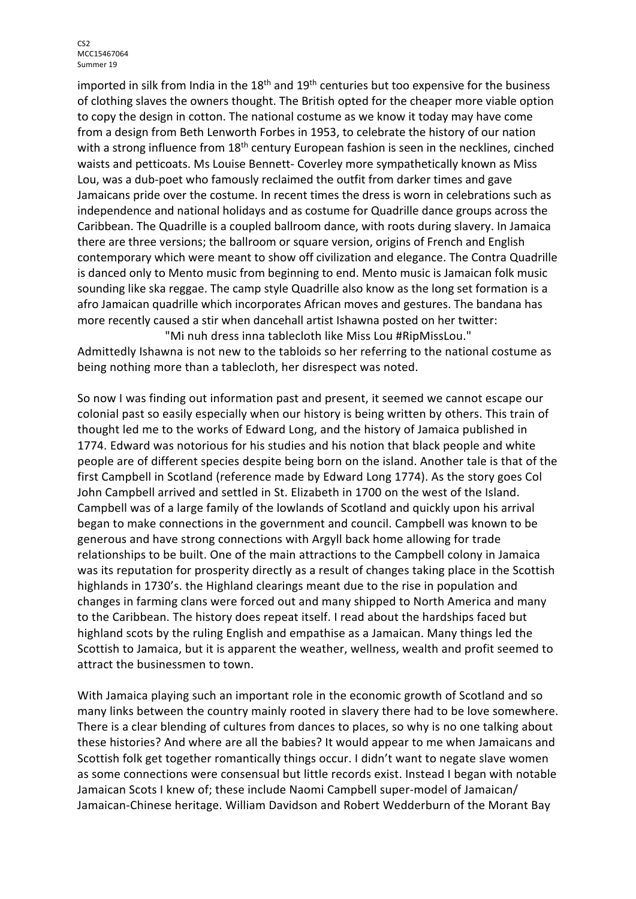imported in silk from India in the  $18<sup>th</sup>$  and  $19<sup>th</sup>$  centuries but too expensive for the business of clothing slaves the owners thought. The British opted for the cheaper more viable option to copy the design in cotton. The national costume as we know it today may have come from a design from Beth Lenworth Forbes in 1953, to celebrate the history of our nation with a strong influence from 18<sup>th</sup> century European fashion is seen in the necklines, cinched waists and petticoats. Ms Louise Bennett- Coverley more sympathetically known as Miss Lou, was a dub-poet who famously reclaimed the outfit from darker times and gave Jamaicans pride over the costume. In recent times the dress is worn in celebrations such as independence and national holidays and as costume for Quadrille dance groups across the Caribbean. The Quadrille is a coupled ballroom dance, with roots during slavery. In Jamaica there are three versions; the ballroom or square version, origins of French and English contemporary which were meant to show off civilization and elegance. The Contra Quadrille is danced only to Mento music from beginning to end. Mento music is Jamaican folk music sounding like ska reggae. The camp style Quadrille also know as the long set formation is a afro Jamaican quadrille which incorporates African moves and gestures. The bandana has more recently caused a stir when dancehall artist Ishawna posted on her twitter:

"Mi nuh dress inna tablecloth like Miss Lou #RipMissLou." Admittedly Ishawna is not new to the tabloids so her referring to the national costume as being nothing more than a tablecloth, her disrespect was noted.

So now I was finding out information past and present, it seemed we cannot escape our colonial past so easily especially when our history is being written by others. This train of thought led me to the works of Edward Long, and the history of Jamaica published in 1774. Edward was notorious for his studies and his notion that black people and white people are of different species despite being born on the island. Another tale is that of the first Campbell in Scotland (reference made by Edward Long 1774). As the story goes Col John Campbell arrived and settled in St. Elizabeth in 1700 on the west of the Island. Campbell was of a large family of the lowlands of Scotland and quickly upon his arrival began to make connections in the government and council. Campbell was known to be generous and have strong connections with Argyll back home allowing for trade relationships to be built. One of the main attractions to the Campbell colony in Jamaica was its reputation for prosperity directly as a result of changes taking place in the Scottish highlands in 1730's. the Highland clearings meant due to the rise in population and changes in farming clans were forced out and many shipped to North America and many to the Caribbean. The history does repeat itself. I read about the hardships faced but highland scots by the ruling English and empathise as a Jamaican. Many things led the Scottish to Jamaica, but it is apparent the weather, wellness, wealth and profit seemed to attract the businessmen to town.

With Jamaica playing such an important role in the economic growth of Scotland and so many links between the country mainly rooted in slavery there had to be love somewhere. There is a clear blending of cultures from dances to places, so why is no one talking about these histories? And where are all the babies? It would appear to me when Jamaicans and Scottish folk get together romantically things occur. I didn't want to negate slave women as some connections were consensual but little records exist. Instead I began with notable Jamaican Scots I knew of; these include Naomi Campbell super-model of Jamaican/ Jamaican-Chinese heritage. William Davidson and Robert Wedderburn of the Morant Bay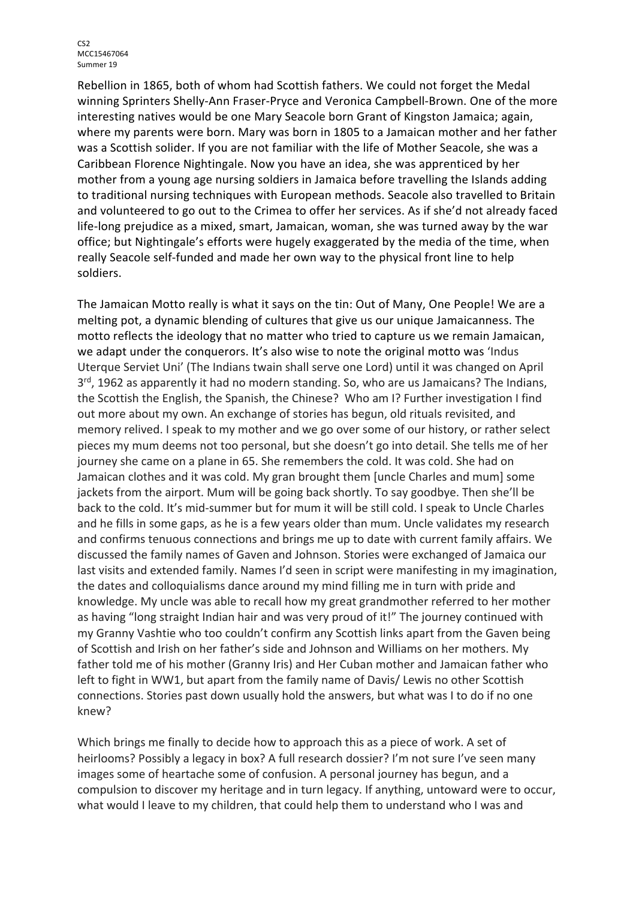Rebellion in 1865, both of whom had Scottish fathers. We could not forget the Medal winning Sprinters Shelly-Ann Fraser-Pryce and Veronica Campbell-Brown. One of the more interesting natives would be one Mary Seacole born Grant of Kingston Jamaica; again, where my parents were born. Mary was born in 1805 to a Jamaican mother and her father was a Scottish solider. If you are not familiar with the life of Mother Seacole, she was a Caribbean Florence Nightingale. Now you have an idea, she was apprenticed by her mother from a young age nursing soldiers in Jamaica before travelling the Islands adding to traditional nursing techniques with European methods. Seacole also travelled to Britain and volunteered to go out to the Crimea to offer her services. As if she'd not already faced life-long prejudice as a mixed, smart, Jamaican, woman, she was turned away by the war office; but Nightingale's efforts were hugely exaggerated by the media of the time, when really Seacole self-funded and made her own way to the physical front line to help soldiers.

The Jamaican Motto really is what it says on the tin: Out of Many, One People! We are a melting pot, a dynamic blending of cultures that give us our unique Jamaicanness. The motto reflects the ideology that no matter who tried to capture us we remain Jamaican, we adapt under the conquerors. It's also wise to note the original motto was 'Indus Uterque Serviet Uni' (The Indians twain shall serve one Lord) until it was changed on April  $3<sup>rd</sup>$ , 1962 as apparently it had no modern standing. So, who are us Jamaicans? The Indians, the Scottish the English, the Spanish, the Chinese? Who am I? Further investigation I find out more about my own. An exchange of stories has begun, old rituals revisited, and memory relived. I speak to my mother and we go over some of our history, or rather select pieces my mum deems not too personal, but she doesn't go into detail. She tells me of her journey she came on a plane in 65. She remembers the cold. It was cold. She had on Jamaican clothes and it was cold. My gran brought them [uncle Charles and mum] some jackets from the airport. Mum will be going back shortly. To say goodbye. Then she'll be back to the cold. It's mid-summer but for mum it will be still cold. I speak to Uncle Charles and he fills in some gaps, as he is a few years older than mum. Uncle validates my research and confirms tenuous connections and brings me up to date with current family affairs. We discussed the family names of Gaven and Johnson. Stories were exchanged of Jamaica our last visits and extended family. Names I'd seen in script were manifesting in my imagination, the dates and colloquialisms dance around my mind filling me in turn with pride and knowledge. My uncle was able to recall how my great grandmother referred to her mother as having "long straight Indian hair and was very proud of it!" The journey continued with my Granny Vashtie who too couldn't confirm any Scottish links apart from the Gaven being of Scottish and Irish on her father's side and Johnson and Williams on her mothers. My father told me of his mother (Granny Iris) and Her Cuban mother and Jamaican father who left to fight in WW1, but apart from the family name of Davis/ Lewis no other Scottish connections. Stories past down usually hold the answers, but what was I to do if no one knew?

Which brings me finally to decide how to approach this as a piece of work. A set of heirlooms? Possibly a legacy in box? A full research dossier? I'm not sure I've seen many images some of heartache some of confusion. A personal journey has begun, and a compulsion to discover my heritage and in turn legacy. If anything, untoward were to occur, what would I leave to my children, that could help them to understand who I was and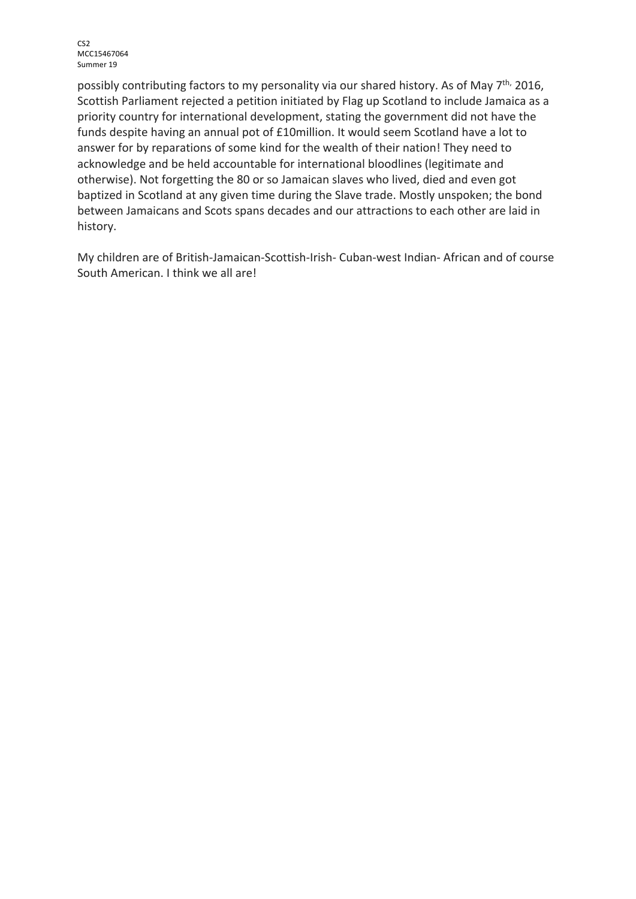possibly contributing factors to my personality via our shared history. As of May 7<sup>th,</sup> 2016, Scottish Parliament rejected a petition initiated by Flag up Scotland to include Jamaica as a priority country for international development, stating the government did not have the funds despite having an annual pot of £10million. It would seem Scotland have a lot to answer for by reparations of some kind for the wealth of their nation! They need to acknowledge and be held accountable for international bloodlines (legitimate and otherwise). Not forgetting the 80 or so Jamaican slaves who lived, died and even got baptized in Scotland at any given time during the Slave trade. Mostly unspoken; the bond between Jamaicans and Scots spans decades and our attractions to each other are laid in history.

My children are of British-Jamaican-Scottish-Irish- Cuban-west Indian- African and of course South American. I think we all are!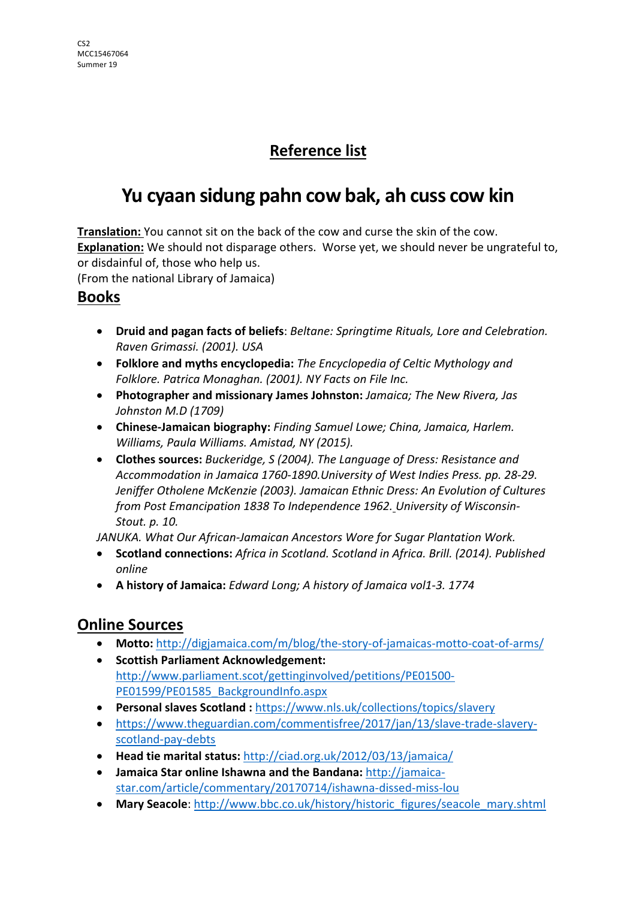### **Reference list**

# **Yu cyaan sidung pahn cow bak, ah cuss cow kin**

**Translation:** You cannot sit on the back of the cow and curse the skin of the cow. **Explanation:** We should not disparage others. Worse yet, we should never be ungrateful to, or disdainful of, those who help us.

(From the national Library of Jamaica)

#### **Books**

- **Druid and pagan facts of beliefs**: *Beltane: Springtime Rituals, Lore and Celebration. Raven Grimassi. (2001). USA*
- **Folklore and myths encyclopedia:** *The Encyclopedia of Celtic Mythology and Folklore. Patrica Monaghan. (2001). NY Facts on File Inc.*
- **Photographer and missionary James Johnston:** *Jamaica; The New Rivera, Jas Johnston M.D (1709)*
- **Chinese-Jamaican biography:** *Finding Samuel Lowe; China, Jamaica, Harlem. Williams, Paula Williams. Amistad, NY (2015).*
- **Clothes sources:** *Buckeridge, S (2004). The Language of Dress: Resistance and Accommodation in Jamaica 1760-1890.University of West Indies Press. pp. 28-29. Jeniffer Otholene McKenzie (2003). Jamaican Ethnic Dress: An Evolution of Cultures from Post Emancipation 1838 To Independence 1962. University of Wisconsin-Stout. p. 10.*

*JANUKA. What Our African-Jamaican Ancestors Wore for Sugar Plantation Work.*

- **Scotland connections:** *Africa in Scotland. Scotland in Africa. Brill. (2014). Published online*
- **A history of Jamaica:** *Edward Long; A history of Jamaica vol1-3. 1774*

#### **Online Sources**

- **Motto:** http://digjamaica.com/m/blog/the-story-of-jamaicas-motto-coat-of-arms/
- **Scottish Parliament Acknowledgement:** http://www.parliament.scot/gettinginvolved/petitions/PE01500- PE01599/PE01585\_BackgroundInfo.aspx
- **Personal slaves Scotland :** https://www.nls.uk/collections/topics/slavery
- https://www.theguardian.com/commentisfree/2017/jan/13/slave-trade-slaveryscotland-pay-debts
- **Head tie marital status:** http://ciad.org.uk/2012/03/13/jamaica/
- **Jamaica Star online Ishawna and the Bandana:** http://jamaicastar.com/article/commentary/20170714/ishawna-dissed-miss-lou
- Mary Seacole: http://www.bbc.co.uk/history/historic\_figures/seacole\_mary.shtml